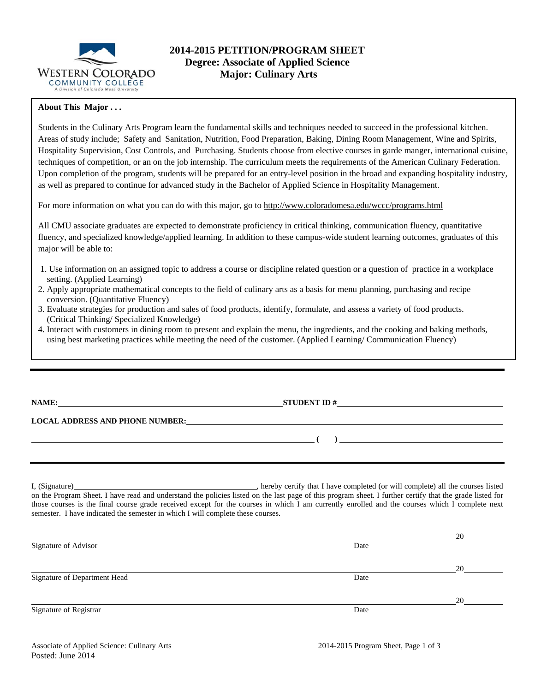

# **2014-2015 PETITION/PROGRAM SHEET Degree: Associate of Applied Science Major: Culinary Arts**

## **About This Major . . .**

Students in the Culinary Arts Program learn the fundamental skills and techniques needed to succeed in the professional kitchen. Areas of study include; Safety and Sanitation, Nutrition, Food Preparation, Baking, Dining Room Management, Wine and Spirits, Hospitality Supervision, Cost Controls, and Purchasing. Students choose from elective courses in garde manger, international cuisine, techniques of competition, or an on the job internship. The curriculum meets the requirements of the American Culinary Federation. Upon completion of the program, students will be prepared for an entry-level position in the broad and expanding hospitality industry, as well as prepared to continue for advanced study in the Bachelor of Applied Science in Hospitality Management.

For more information on what you can do with this major, go to http://www.coloradomesa.edu/wccc/programs.html

All CMU associate graduates are expected to demonstrate proficiency in critical thinking, communication fluency, quantitative fluency, and specialized knowledge/applied learning. In addition to these campus-wide student learning outcomes, graduates of this major will be able to:

- 1. Use information on an assigned topic to address a course or discipline related question or a question of practice in a workplace setting. (Applied Learning)
- 2. Apply appropriate mathematical concepts to the field of culinary arts as a basis for menu planning, purchasing and recipe conversion. (Quantitative Fluency)
- 3. Evaluate strategies for production and sales of food products, identify, formulate, and assess a variety of food products. (Critical Thinking/ Specialized Knowledge)
- 4. Interact with customers in dining room to present and explain the menu, the ingredients, and the cooking and baking methods, using best marketing practices while meeting the need of the customer. (Applied Learning/ Communication Fluency)

| NAME:                                  | <b>STUDENT ID#</b> |  |  |  |
|----------------------------------------|--------------------|--|--|--|
| <b>LOCAL ADDRESS AND PHONE NUMBER:</b> |                    |  |  |  |
|                                        |                    |  |  |  |
|                                        |                    |  |  |  |
|                                        |                    |  |  |  |

I, (Signature) , hereby certify that I have completed (or will complete) all the courses listed on the Program Sheet. I have read and understand the policies listed on the last page of this program sheet. I further certify that the grade listed for those courses is the final course grade received except for the courses in which I am currently enrolled and the courses which I complete next semester. I have indicated the semester in which I will complete these courses.

|                              |      | 20 |
|------------------------------|------|----|
| Signature of Advisor         | Date |    |
|                              |      |    |
|                              |      | 20 |
| Signature of Department Head | Date |    |
|                              |      |    |
|                              |      | 20 |
| Signature of Registrar       | Date |    |
|                              |      |    |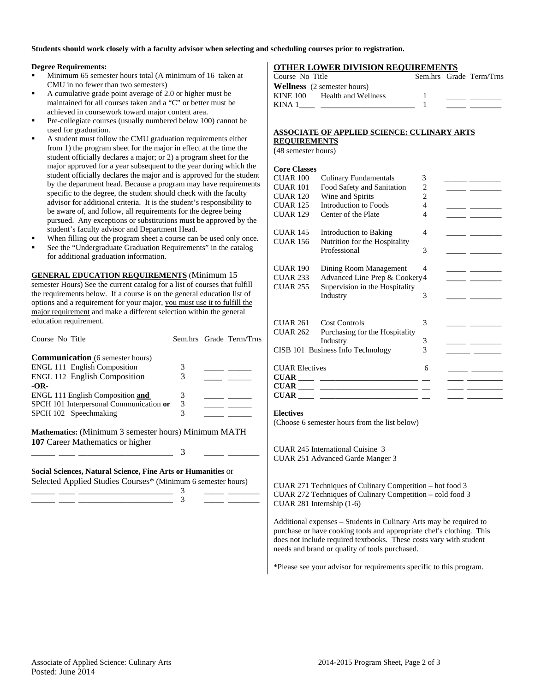**Students should work closely with a faculty advisor when selecting and scheduling courses prior to registration.** 

## **Degree Requirements:**

- Minimum 65 semester hours total (A minimum of 16 taken at CMU in no fewer than two semesters)
- A cumulative grade point average of 2.0 or higher must be maintained for all courses taken and a "C" or better must be achieved in coursework toward major content area.
- Pre-collegiate courses (usually numbered below 100) cannot be used for graduation.
- A student must follow the CMU graduation requirements either from 1) the program sheet for the major in effect at the time the student officially declares a major; or 2) a program sheet for the major approved for a year subsequent to the year during which the student officially declares the major and is approved for the student by the department head. Because a program may have requirements specific to the degree, the student should check with the faculty advisor for additional criteria. It is the student's responsibility to be aware of, and follow, all requirements for the degree being pursued. Any exceptions or substitutions must be approved by the student's faculty advisor and Department Head.
- When filling out the program sheet a course can be used only once.
- See the "Undergraduate Graduation Requirements" in the catalog for additional graduation information.

**GENERAL EDUCATION REQUIREMENTS** (Minimum 15 semester Hours) See the current catalog for a list of courses that fulfill the requirements below. If a course is on the general education list of options and a requirement for your major, you must use it to fulfill the major requirement and make a different selection within the general education requirement.

| Course No Title                                                                                                              |   | Sem.hrs Grade Term/Trns |
|------------------------------------------------------------------------------------------------------------------------------|---|-------------------------|
| <b>Communication</b> (6 semester hours)                                                                                      |   |                         |
| <b>ENGL 111 English Composition</b>                                                                                          | 3 |                         |
| <b>ENGL 112 English Composition</b>                                                                                          | 3 |                         |
| $-OR-$                                                                                                                       |   |                         |
| ENGL 111 English Composition and                                                                                             | 3 |                         |
| SPCH 101 Interpersonal Communication or                                                                                      | 3 |                         |
| SPCH 102 Speechmaking                                                                                                        | 3 |                         |
| <b>Mathematics:</b> (Minimum 3 semester hours) Minimum MATH<br>107 Career Mathematics or higher                              |   |                         |
|                                                                                                                              | 3 |                         |
| Social Sciences, Natural Science, Fine Arts or Humanities or<br>Selected Applied Studies Courses* (Minimum 6 semester hours) | 3 |                         |

\_\_\_\_\_\_ \_\_\_\_ \_\_\_\_\_\_\_\_\_\_\_\_\_\_\_\_\_\_\_\_\_\_\_\_ 3 \_\_\_\_\_ \_\_\_\_\_\_\_\_

## **OTHER LOWER DIVISION REQUIREMENTS**

|  | Sem.hrs Grade Term/Trns |
|--|-------------------------|

## **ASSOCIATE OF APPLIED SCIENCE: CULINARY ARTS REQUIREMENTS**

(48 semester hours)

# **Core Classes**

| CUAR 100                          | <b>Culinary Fundamentals</b>   | 3              |                                              |
|-----------------------------------|--------------------------------|----------------|----------------------------------------------|
| <b>CUAR 101</b>                   | Food Safety and Sanitation     | $\overline{c}$ |                                              |
| <b>CUAR 120</b>                   | Wine and Spirits               | $\overline{2}$ |                                              |
| <b>CUAR 125</b>                   | Introduction to Foods          | 4              |                                              |
| <b>CUAR 129</b>                   | Center of the Plate            | 4              |                                              |
| CUAR 145                          | Introduction to Baking         | 4              | the contract of the contract of the          |
| <b>CUAR 156</b>                   | Nutrition for the Hospitality  |                |                                              |
|                                   | Professional                   | 3              | the company of the company of the company of |
| CUAR 190                          | Dining Room Management         | 4              |                                              |
| <b>CUAR 233</b>                   | Advanced Line Prep & Cookery4  |                |                                              |
| <b>CUAR 255</b>                   | Supervision in the Hospitality |                |                                              |
|                                   | Industry                       | 3              |                                              |
| <b>CUAR 261</b>                   | Cost Controls                  | 3              |                                              |
| CUAR 262                          | Purchasing for the Hospitality |                |                                              |
|                                   | Industry                       | 3              |                                              |
| CISB 101 Business Info Technology |                                | 3              |                                              |
| <b>CUAR Electives</b>             |                                | 6              |                                              |
|                                   |                                |                |                                              |
|                                   |                                |                |                                              |
|                                   |                                |                |                                              |
|                                   |                                |                |                                              |

#### **Electives**

(Choose 6 semester hours from the list below)

CUAR 245 International Cuisine 3 CUAR 251 Advanced Garde Manger 3

CUAR 271 Techniques of Culinary Competition – hot food 3 CUAR 272 Techniques of Culinary Competition – cold food 3 CUAR 281 Internship (1-6)

Additional expenses – Students in Culinary Arts may be required to purchase or have cooking tools and appropriate chef's clothing. This does not include required textbooks. These costs vary with student needs and brand or quality of tools purchased.

\*Please see your advisor for requirements specific to this program.